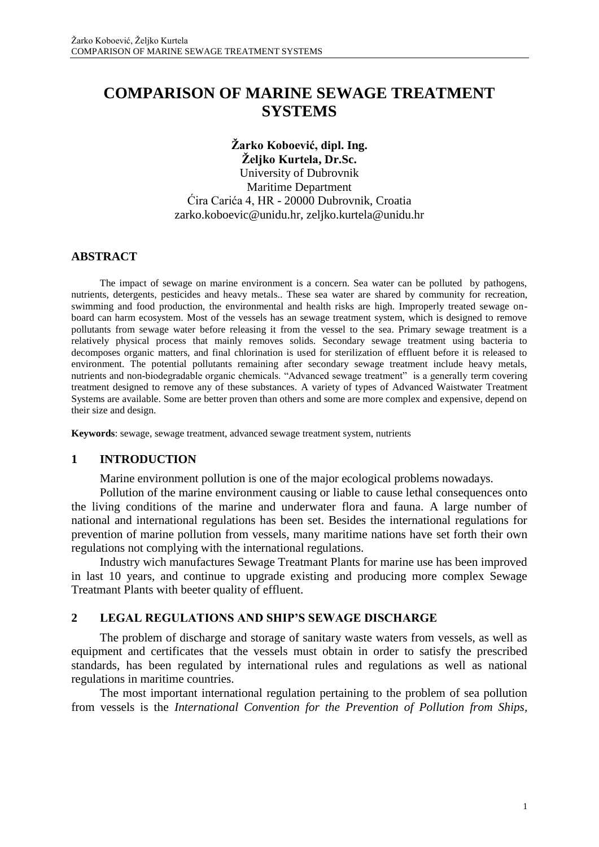# **COMPARISON OF MARINE SEWAGE TREATMENT SYSTEMS**

**Žarko Koboević, dipl. Ing. Željko Kurtela, Dr.Sc.** University of Dubrovnik Maritime Department Ćira Carića 4, HR - 20000 Dubrovnik, Croatia [zarko.koboevic@unidu.hr,](mailto:zarko.koboevic@unidu.hr) [zeljko.kurtela@unidu.hr](mailto:zeljko.kurtela@unidu.hr)

#### **ABSTRACT**

The impact of sewage on marine environment is a concern. Sea water can be polluted by pathogens, nutrients, detergents, pesticides and heavy metals.. These sea water are shared by community for recreation, swimming and food production, the environmental and health risks are high. Improperly treated sewage onboard can harm ecosystem. Most of the vessels has an sewage treatment system, which is designed to remove pollutants from sewage water before releasing it from the vessel to the sea. Primary sewage treatment is a relatively physical process that mainly removes solids. Secondary sewage treatment using bacteria to decomposes organic matters, and final chlorination is used for sterilization of effluent before it is released to environment. The potential pollutants remaining after secondary sewage treatment include heavy metals, nutrients and non-biodegradable organic chemicals. "Advanced sewage treatment" is a generally term covering treatment designed to remove any of these substances. A variety of types of Advanced Waistwater Treatment Systems are available. Some are better proven than others and some are more complex and expensive, depend on their size and design.

**Keywords**: sewage, sewage treatment, advanced sewage treatment system, nutrients

#### **1 INTRODUCTION**

Marine environment pollution is one of the major ecological problems nowadays.

Pollution of the marine environment causing or liable to cause lethal consequences onto the living conditions of the marine and underwater flora and fauna. A large number of national and international regulations has been set. Besides the international regulations for prevention of marine pollution from vessels, many maritime nations have set forth their own regulations not complying with the international regulations.

Industry wich manufactures Sewage Treatmant Plants for marine use has been improved in last 10 years, and continue to upgrade existing and producing more complex Sewage Treatmant Plants with beeter quality of effluent.

#### **2 LEGAL REGULATIONS AND SHIP'S SEWAGE DISCHARGE**

The problem of discharge and storage of sanitary waste waters from vessels, as well as equipment and certificates that the vessels must obtain in order to satisfy the prescribed standards, has been regulated by international rules and regulations as well as national regulations in maritime countries.

The most important international regulation pertaining to the problem of sea pollution from vessels is the *International Convention for the Prevention of Pollution from Ships,*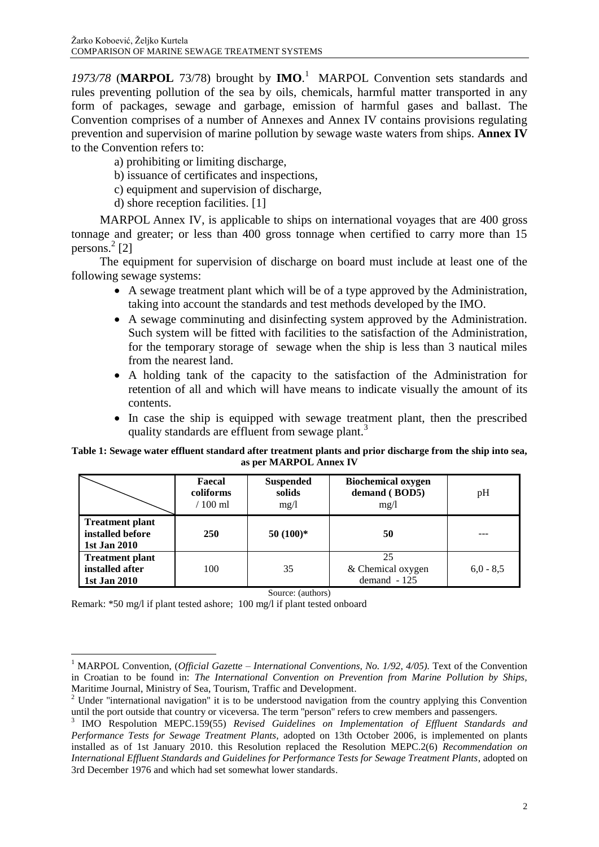*1973/78* (**MARPOL** 73/78) brought by **IMO**. <sup>1</sup> MARPOL Convention sets standards and rules preventing pollution of the sea by oils, chemicals, harmful matter transported in any form of packages, sewage and garbage, emission of harmful gases and ballast. The Convention comprises of a number of Annexes and Annex IV contains provisions regulating prevention and supervision of marine pollution by sewage waste waters from ships. **Annex IV** to the Convention refers to:

a) prohibiting or limiting discharge,

- b) issuance of certificates and inspections,
- c) equipment and supervision of discharge,
- d) shore reception facilities. [1]

MARPOL Annex IV, is applicable to ships on international voyages that are 400 gross tonnage and greater; or less than 400 gross tonnage when certified to carry more than 15 persons. 2 [2]

The equipment for supervision of discharge on board must include at least one of the following sewage systems:

- A sewage treatment plant which will be of a type approved by the Administration, taking into account the standards and test methods developed by the IMO.
- A sewage comminuting and disinfecting system approved by the Administration. Such system will be fitted with facilities to the satisfaction of the Administration, for the temporary storage of sewage when the ship is less than 3 nautical miles from the nearest land.
- A holding tank of the capacity to the satisfaction of the Administration for retention of all and which will have means to indicate visually the amount of its contents.
- In case the ship is equipped with sewage treatment plant, then the prescribed quality standards are effluent from sewage plant.<sup>3</sup>

#### **Table 1: Sewage water effluent standard after treatment plants and prior discharge from the ship into sea, as per MARPOL Annex IV**

|                                                            | Faecal<br>coliforms<br>$/100$ ml | <b>Suspended</b><br>solids<br>mg/l | <b>Biochemical oxygen</b><br>demand (BOD5)<br>mg/l | pH          |
|------------------------------------------------------------|----------------------------------|------------------------------------|----------------------------------------------------|-------------|
| <b>Treatment plant</b><br>installed before<br>1st Jan 2010 | <b>250</b>                       | $50(100)*$                         | 50                                                 |             |
| <b>Treatment plant</b><br>installed after<br>1st Jan 2010  | 100                              | 35                                 | 25<br>& Chemical oxygen<br>$demand -125$           | $6.0 - 8.5$ |

Source: (authors)

Remark: \*50 mg/l if plant tested ashore; 100 mg/l if plant tested onboard

 $\overline{a}$ 

<sup>1</sup> MARPOL Convention, (*Official Gazette – International Conventions, No. 1/92, 4/05).* Text of the Convention in Croatian to be found in: *The International Convention on Prevention from Marine Pollution by Ships,* Maritime Journal, Ministry of Sea, Tourism, Traffic and Development.

<sup>&</sup>lt;sup>2</sup> Under "international navigation" it is to be understood navigation from the country applying this Convention until the port outside that country or viceversa. The term ''person'' refers to crew members and passengers.

<sup>3</sup> IMO Respolution MEPC.159(55) *Revised Guidelines on Implementation of Effluent Standards and Performance Tests for Sewage Treatment Plants,* adopted on 13th October 2006, is implemented on plants installed as of 1st January 2010. this Resolution replaced the Resolution MEPC.2(6) *Recommendation on International Effluent Standards and Guidelines for Performance Tests for Sewage Treatment Plants,* adopted on 3rd December 1976 and which had set somewhat lower standards.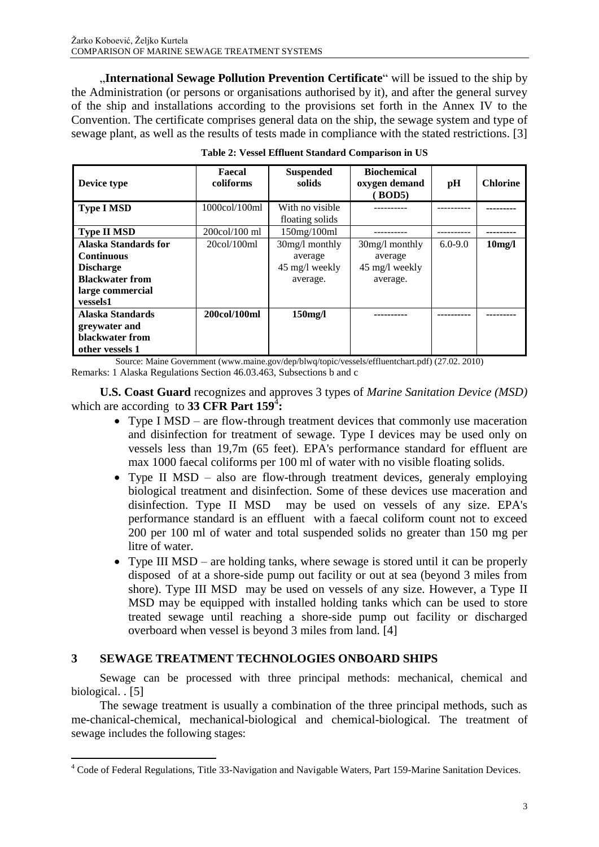"**International Sewage Pollution Prevention Certificate**" will be issued to the ship by the Administration (or persons or organisations authorised by it), and after the general survey of the ship and installations according to the provisions set forth in the Annex IV to the Convention. The certificate comprises general data on the ship, the sewage system and type of sewage plant, as well as the results of tests made in compliance with the stated restrictions. [3]

| Device type                 | Faecal<br>coliforms             | <b>Suspended</b><br>solids | <b>Biochemical</b><br>oxygen demand<br><b>BOD5</b> ) | pH          | <b>Chlorine</b>     |
|-----------------------------|---------------------------------|----------------------------|------------------------------------------------------|-------------|---------------------|
| <b>Type I MSD</b>           | 1000col/100ml                   | With no visible            |                                                      |             |                     |
|                             |                                 | floating solids            |                                                      |             |                     |
| <b>Type II MSD</b>          | $200 \text{col}/100 \text{ ml}$ | 150mg/100ml                |                                                      |             |                     |
| <b>Alaska Standards for</b> | $20 \text{col}/100 \text{ml}$   | $30mg/l$ monthly           | 30mg/l monthly                                       | $6.0 - 9.0$ | 10 <sub>m</sub> g/l |
| <b>Continuous</b>           |                                 | average                    | average                                              |             |                     |
| <b>Discharge</b>            |                                 | 45 mg/l weekly             | 45 mg/l weekly                                       |             |                     |
| <b>Blackwater from</b>      |                                 | average.                   | average.                                             |             |                     |
| large commercial            |                                 |                            |                                                      |             |                     |
| vessels1                    |                                 |                            |                                                      |             |                     |
| Alaska Standards            | 200col/100ml                    | $150$ mg/l                 |                                                      |             |                     |
| greywater and               |                                 |                            |                                                      |             |                     |
| blackwater from             |                                 |                            |                                                      |             |                     |
| other vessels 1             |                                 |                            |                                                      |             |                     |

|  |  |  |  | Table 2: Vessel Effluent Standard Comparison in US |  |
|--|--|--|--|----------------------------------------------------|--|
|--|--|--|--|----------------------------------------------------|--|

Source: Maine Government [\(www.maine.gov/dep/blwq/topic/vessels/effluentchart.pdf\)](http://www.maine.gov/dep/blwq/topic/vessels/effluentchart.pdf) (27.02. 2010) Remarks: 1 Alaska Regulations Section 46.03.463, Subsections b and c

**U.S. Coast Guard** recognizes and approves 3 types of *Marine Sanitation Device (MSD)*  which are according to **33 CFR Part 159**<sup>4</sup> **:**

- Type I MSD are flow-through treatment devices that commonly use maceration and disinfection for treatment of sewage. Type I devices may be used only on vessels less than 19,7m (65 feet). EPA's performance standard for effluent are max 1000 faecal coliforms per 100 ml of water with no visible floating solids.
- Type II MSD also are flow-through treatment devices, generaly employing biological treatment and disinfection. Some of these devices use maceration and disinfection. Type II MSD may be used on vessels of any size. EPA's performance standard is an effluent with a faecal coliform count not to exceed 200 per 100 ml of water and total suspended solids no greater than 150 mg per litre of water.
- Type III MSD are holding tanks, where sewage is stored until it can be properly disposed of at a shore-side pump out facility or out at sea (beyond 3 miles from shore). Type III MSD may be used on vessels of any size. However, a Type II MSD may be equipped with installed holding tanks which can be used to store treated sewage until reaching a shore-side pump out facility or discharged overboard when vessel is beyond 3 miles from land. [4]

#### **3 SEWAGE TREATMENT TECHNOLOGIES ONBOARD SHIPS**

 $\overline{a}$ 

Sewage can be processed with three principal methods: mechanical, chemical and biological. . [5]

The sewage treatment is usually a combination of the three principal methods, such as me-chanical-chemical, mechanical-biological and chemical-biological. The treatment of sewage includes the following stages:

<sup>&</sup>lt;sup>4</sup> Code of Federal Regulations, Title 33-Navigation and Navigable Waters, Part 159-Marine Sanitation Devices.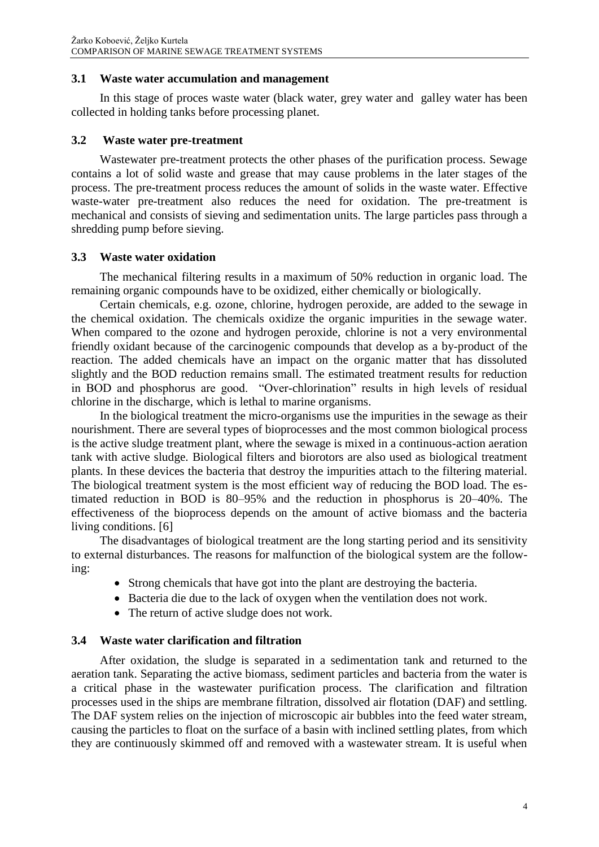#### **3.1 Waste water accumulation and management**

In this stage of proces waste water (black water, grey water and galley water has been collected in holding tanks before processing planet.

#### **3.2 Waste water pre-treatment**

Wastewater pre-treatment protects the other phases of the purification process. Sewage contains a lot of solid waste and grease that may cause problems in the later stages of the process. The pre-treatment process reduces the amount of solids in the waste water. Effective waste-water pre-treatment also reduces the need for oxidation. The pre-treatment is mechanical and consists of sieving and sedimentation units. The large particles pass through a shredding pump before sieving.

#### **3.3 Waste water oxidation**

The mechanical filtering results in a maximum of 50% reduction in organic load. The remaining organic compounds have to be oxidized, either chemically or biologically.

Certain chemicals, e.g. ozone, chlorine, hydrogen peroxide, are added to the sewage in the chemical oxidation. The chemicals oxidize the organic impurities in the sewage water. When compared to the ozone and hydrogen peroxide, chlorine is not a very environmental friendly oxidant because of the carcinogenic compounds that develop as a by-product of the reaction. The added chemicals have an impact on the organic matter that has dissoluted slightly and the BOD reduction remains small. The estimated treatment results for reduction in BOD and phosphorus are good. "Over-chlorination" results in high levels of residual chlorine in the discharge, which is lethal to marine organisms.

In the biological treatment the micro-organisms use the impurities in the sewage as their nourishment. There are several types of bioprocesses and the most common biological process is the active sludge treatment plant, where the sewage is mixed in a continuous-action aeration tank with active sludge. Biological filters and biorotors are also used as biological treatment plants. In these devices the bacteria that destroy the impurities attach to the filtering material. The biological treatment system is the most efficient way of reducing the BOD load. The estimated reduction in BOD is 80–95% and the reduction in phosphorus is 20–40%. The effectiveness of the bioprocess depends on the amount of active biomass and the bacteria living conditions. [6]

The disadvantages of biological treatment are the long starting period and its sensitivity to external disturbances. The reasons for malfunction of the biological system are the following:

- Strong chemicals that have got into the plant are destroying the bacteria.
- Bacteria die due to the lack of oxygen when the ventilation does not work.
- The return of active sludge does not work.

#### **3.4 Waste water clarification and filtration**

After oxidation, the sludge is separated in a sedimentation tank and returned to the aeration tank. Separating the active biomass, sediment particles and bacteria from the water is a critical phase in the wastewater purification process. The clarification and filtration processes used in the ships are membrane filtration, dissolved air flotation (DAF) and settling. The DAF system relies on the injection of microscopic air bubbles into the feed water stream, causing the particles to float on the surface of a basin with inclined settling plates, from which they are continuously skimmed off and removed with a wastewater stream. It is useful when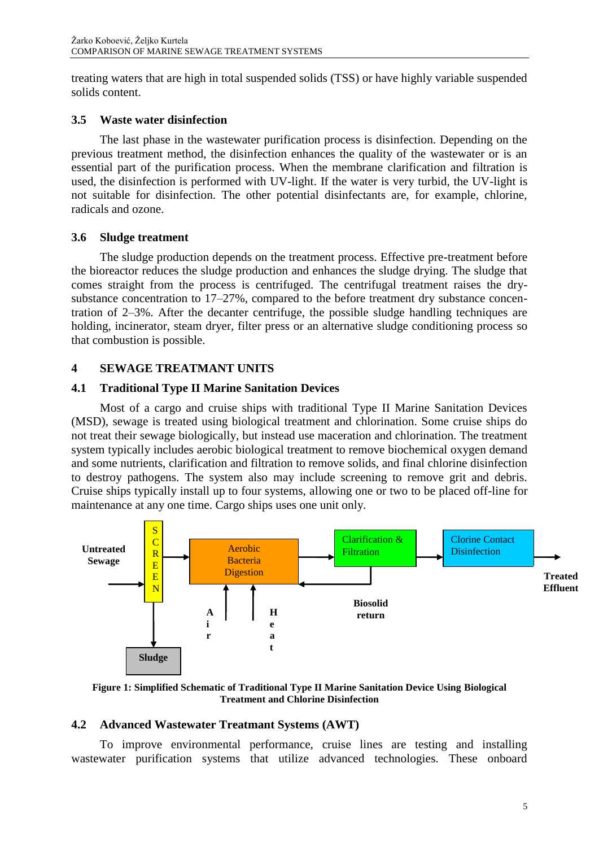treating waters that are high in total suspended solids (TSS) or have highly variable suspended solids content.

#### **3.5 Waste water disinfection**

The last phase in the wastewater purification process is disinfection. Depending on the previous treatment method, the disinfection enhances the quality of the wastewater or is an essential part of the purification process. When the membrane clarification and filtration is used, the disinfection is performed with UV-light. If the water is very turbid, the UV-light is not suitable for disinfection. The other potential disinfectants are, for example, chlorine, radicals and ozone.

## **3.6 Sludge treatment**

The sludge production depends on the treatment process. Effective pre-treatment before the bioreactor reduces the sludge production and enhances the sludge drying. The sludge that comes straight from the process is centrifuged. The centrifugal treatment raises the drysubstance concentration to 17–27%, compared to the before treatment dry substance concentration of 2–3%. After the decanter centrifuge, the possible sludge handling techniques are holding, incinerator, steam dryer, filter press or an alternative sludge conditioning process so that combustion is possible.

# **4 SEWAGE TREATMANT UNITS**

# **4.1 Traditional Type II Marine Sanitation Devices**

Most of a cargo and cruise ships with traditional Type II Marine Sanitation Devices (MSD), sewage is treated using biological treatment and chlorination. Some cruise ships do not treat their sewage biologically, but instead use maceration and chlorination. The treatment system typically includes aerobic biological treatment to remove biochemical oxygen demand and some nutrients, clarification and filtration to remove solids, and final chlorine disinfection to destroy pathogens. The system also may include screening to remove grit and debris. Cruise ships typically install up to four systems, allowing one or two to be placed off-line for maintenance at any one time. Cargo ships uses one unit only.



**Figure 1: Simplified Schematic of Traditional Type II Marine Sanitation Device Using Biological Treatment and Chlorine Disinfection**

# **4.2 Advanced Wastewater Treatmant Systems (AWT)**

To improve environmental performance, cruise lines are testing and installing wastewater purification systems that utilize advanced technologies. These onboard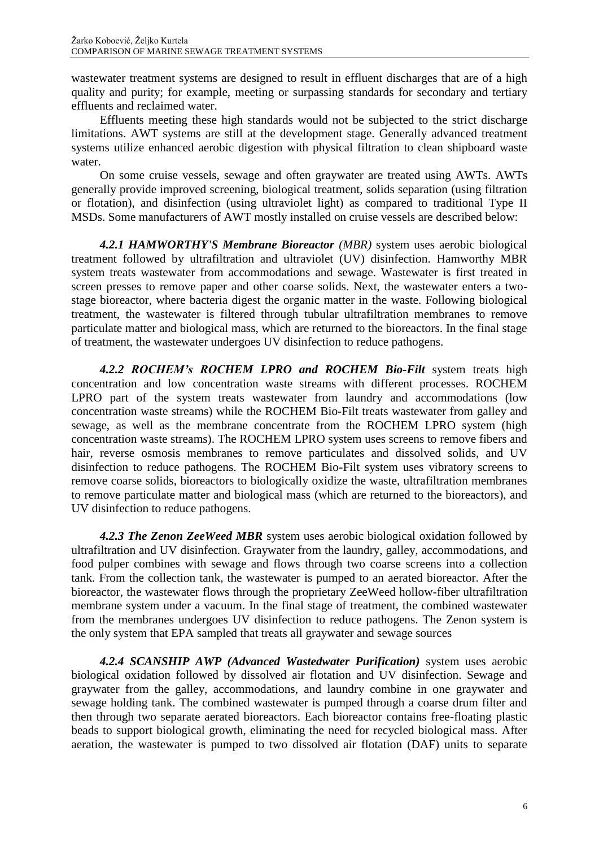wastewater treatment systems are designed to result in effluent discharges that are of a high quality and purity; for example, meeting or surpassing standards for secondary and tertiary effluents and reclaimed water.

Effluents meeting these high standards would not be subjected to the strict discharge limitations. AWT systems are still at the development stage. Generally advanced treatment systems utilize enhanced aerobic digestion with physical filtration to clean shipboard waste water.

On some cruise vessels, sewage and often graywater are treated using AWTs. AWTs generally provide improved screening, biological treatment, solids separation (using filtration or flotation), and disinfection (using ultraviolet light) as compared to traditional Type II MSDs. Some manufacturers of AWT mostly installed on cruise vessels are described below:

*4.2.1 HAMWORTHY'S Membrane Bioreactor (MBR)* system uses aerobic biological treatment followed by ultrafiltration and ultraviolet (UV) disinfection. Hamworthy MBR system treats wastewater from accommodations and sewage. Wastewater is first treated in screen presses to remove paper and other coarse solids. Next, the wastewater enters a twostage bioreactor, where bacteria digest the organic matter in the waste. Following biological treatment, the wastewater is filtered through tubular ultrafiltration membranes to remove particulate matter and biological mass, which are returned to the bioreactors. In the final stage of treatment, the wastewater undergoes UV disinfection to reduce pathogens.

*4.2.2 ROCHEM's ROCHEM LPRO and ROCHEM Bio-Filt* system treats high concentration and low concentration waste streams with different processes. ROCHEM LPRO part of the system treats wastewater from laundry and accommodations (low concentration waste streams) while the ROCHEM Bio-Filt treats wastewater from galley and sewage, as well as the membrane concentrate from the ROCHEM LPRO system (high concentration waste streams). The ROCHEM LPRO system uses screens to remove fibers and hair, reverse osmosis membranes to remove particulates and dissolved solids, and UV disinfection to reduce pathogens. The ROCHEM Bio-Filt system uses vibratory screens to remove coarse solids, bioreactors to biologically oxidize the waste, ultrafiltration membranes to remove particulate matter and biological mass (which are returned to the bioreactors), and UV disinfection to reduce pathogens.

*4.2.3 The Zenon ZeeWeed MBR* system uses aerobic biological oxidation followed by ultrafiltration and UV disinfection. Graywater from the laundry, galley, accommodations, and food pulper combines with sewage and flows through two coarse screens into a collection tank. From the collection tank, the wastewater is pumped to an aerated bioreactor. After the bioreactor, the wastewater flows through the proprietary ZeeWeed hollow-fiber ultrafiltration membrane system under a vacuum. In the final stage of treatment, the combined wastewater from the membranes undergoes UV disinfection to reduce pathogens. The Zenon system is the only system that EPA sampled that treats all graywater and sewage sources

*4.2.4 SCANSHIP AWP (Advanced Wastedwater Purification)* system uses aerobic biological oxidation followed by dissolved air flotation and UV disinfection. Sewage and graywater from the galley, accommodations, and laundry combine in one graywater and sewage holding tank. The combined wastewater is pumped through a coarse drum filter and then through two separate aerated bioreactors. Each bioreactor contains free-floating plastic beads to support biological growth, eliminating the need for recycled biological mass. After aeration, the wastewater is pumped to two dissolved air flotation (DAF) units to separate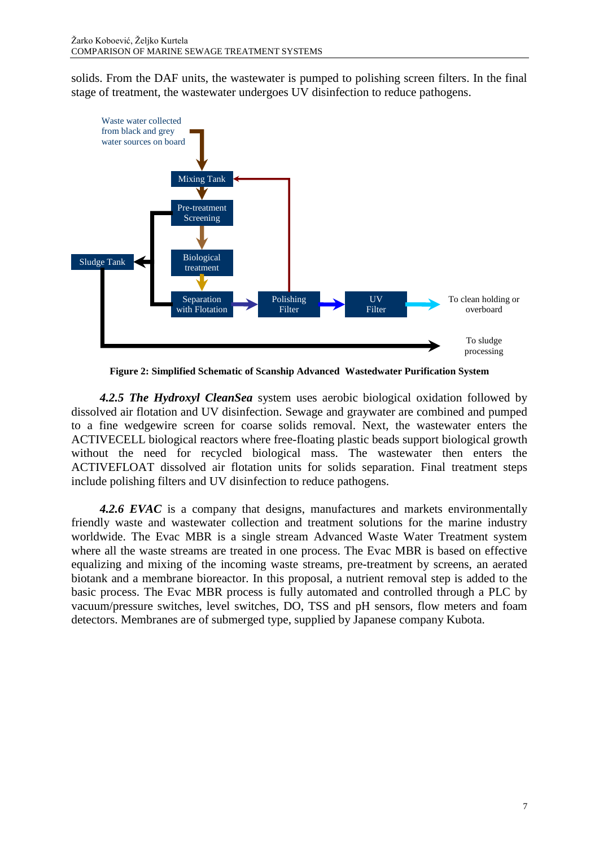solids. From the DAF units, the wastewater is pumped to polishing screen filters. In the final stage of treatment, the wastewater undergoes UV disinfection to reduce pathogens.



**Figure 2: Simplified Schematic of Scanship Advanced Wastedwater Purification System**

*4.2.5 The Hydroxyl CleanSea* system uses aerobic biological oxidation followed by dissolved air flotation and UV disinfection. Sewage and graywater are combined and pumped to a fine wedgewire screen for coarse solids removal. Next, the wastewater enters the ACTIVECELL biological reactors where free-floating plastic beads support biological growth without the need for recycled biological mass. The wastewater then enters the ACTIVEFLOAT dissolved air flotation units for solids separation. Final treatment steps include polishing filters and UV disinfection to reduce pathogens.

*4.2.6 EVAC* is a company that designs, manufactures and markets environmentally friendly waste and wastewater collection and treatment solutions for the marine industry worldwide. The Evac MBR is a single stream Advanced Waste Water Treatment system where all the waste streams are treated in one process. The Evac MBR is based on effective equalizing and mixing of the incoming waste streams, pre-treatment by screens, an aerated biotank and a membrane bioreactor. In this proposal, a nutrient removal step is added to the basic process. The Evac MBR process is fully automated and controlled through a PLC by vacuum/pressure switches, level switches, DO, TSS and pH sensors, flow meters and foam detectors. Membranes are of submerged type, supplied by Japanese company Kubota.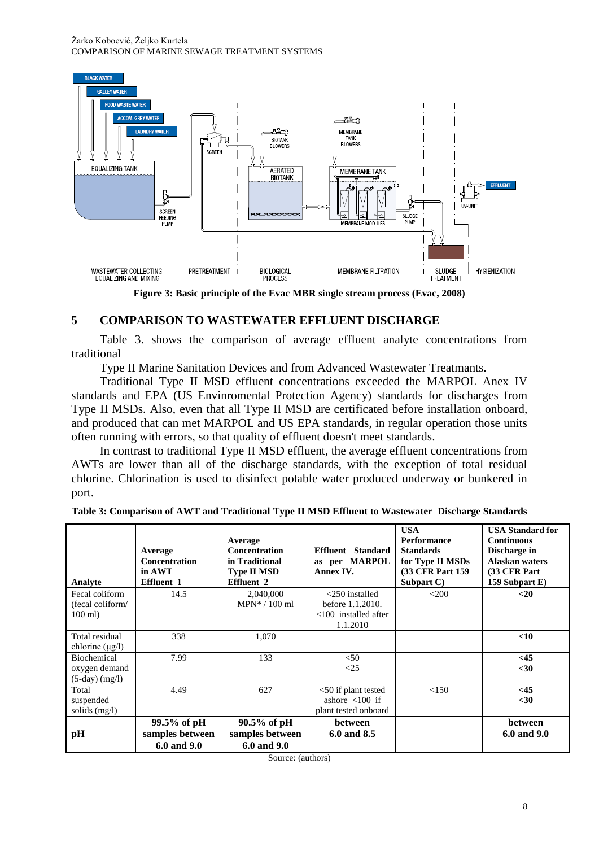

**Figure 3: Basic principle of the Evac MBR single stream process (Evac, 2008)**

## **5 COMPARISON TO WASTEWATER EFFLUENT DISCHARGE**

Table 3. shows the comparison of average effluent analyte concentrations from traditional

Type II Marine Sanitation Devices and from Advanced Wastewater Treatmants.

Traditional Type II MSD effluent concentrations exceeded the MARPOL Anex IV standards and EPA (US Envinromental Protection Agency) standards for discharges from Type II MSDs. Also, even that all Type II MSD are certificated before installation onboard, and produced that can met MARPOL and US EPA standards, in regular operation those units often running with errors, so that quality of effluent doesn't meet standards.

In contrast to traditional Type II MSD effluent, the average effluent concentrations from AWTs are lower than all of the discharge standards, with the exception of total residual chlorine. Chlorination is used to disinfect potable water produced underway or bunkered in port.

| Table 3: Comparison of AWT and Traditional Type II MSD Effluent to Wastewater Discharge Standards |  |  |
|---------------------------------------------------------------------------------------------------|--|--|
|---------------------------------------------------------------------------------------------------|--|--|

| Analyte                                                 | Average<br><b>Concentration</b><br>in AWT<br><b>Effluent 1</b> | Average<br><b>Concentration</b><br>in Traditional<br><b>Type II MSD</b><br><b>Effluent 2</b> | Effluent Standard<br>as per MARPOL<br>Annex IV.                                   | <b>USA</b><br><b>Performance</b><br><b>Standards</b><br>for Type II MSDs<br><b>(33 CFR Part 159)</b><br>Subpart C) | <b>USA Standard for</b><br><b>Continuous</b><br>Discharge in<br>Alaskan waters<br>(33 CFR Part)<br>159 Subpart E) |
|---------------------------------------------------------|----------------------------------------------------------------|----------------------------------------------------------------------------------------------|-----------------------------------------------------------------------------------|--------------------------------------------------------------------------------------------------------------------|-------------------------------------------------------------------------------------------------------------------|
| Fecal coliform<br>(fecal coliform/<br>$100$ ml)         | 14.5                                                           | 2,040,000<br>$MPN*/100$ ml                                                                   | $<$ 250 installed<br>before 1.1.2010.<br>$<100$ installed after<br>1.1.2010       | $<$ 200                                                                                                            | $20$                                                                                                              |
| Total residual<br>chlorine $(\mu g/l)$                  | 338                                                            | 1,070                                                                                        |                                                                                   |                                                                                                                    | $<$ 10                                                                                                            |
| <b>Biochemical</b><br>oxygen demand<br>$(5-day)$ (mg/l) | 7.99                                                           | 133                                                                                          | < 50<br><25                                                                       |                                                                                                                    | <45<br>$30$                                                                                                       |
| Total<br>suspended<br>solids $(mg/l)$                   | 4.49                                                           | 627                                                                                          | $<$ 50 if plant tested<br>ashore $\langle 100 \rangle$ if<br>plant tested onboard | <150                                                                                                               | <45<br>$30$                                                                                                       |
| pH                                                      | $99.5\%$ of pH<br>samples between<br>6.0 and 9.0               | $90.5\%$ of pH<br>samples between<br>6.0 and 9.0                                             | <b>between</b><br>6.0 and 8.5                                                     |                                                                                                                    | between<br>6.0 and 9.0                                                                                            |

Source: (authors)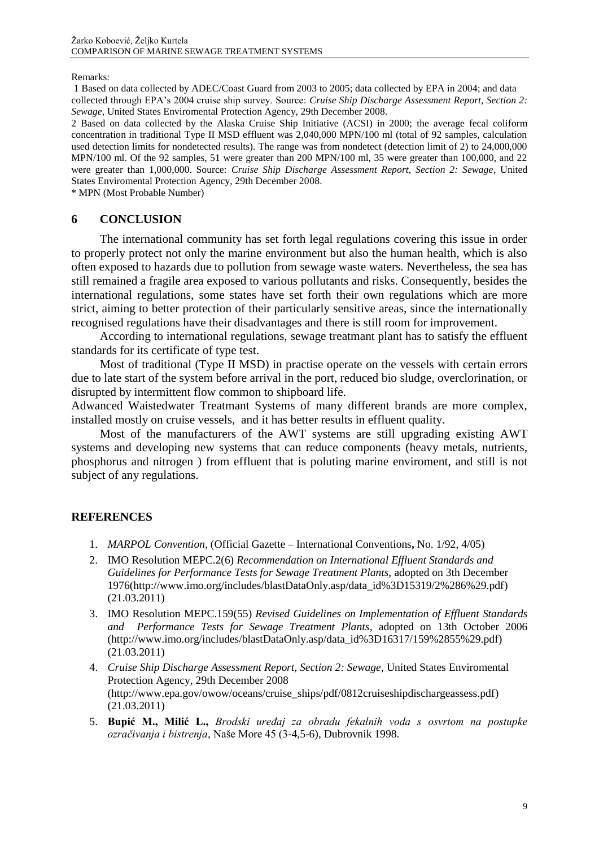#### Remarks:

1 Based on data collected by ADEC/Coast Guard from 2003 to 2005; data collected by EPA in 2004; and data collected through EPA's 2004 cruise ship survey. Source: *Cruise Ship Discharge Assessment Report, Section 2: Sewage*, United States Enviromental Protection Agency, 29th December 2008.

2 Based on data collected by the Alaska Cruise Ship Initiative (ACSI) in 2000; the average fecal coliform concentration in traditional Type II MSD effluent was 2,040,000 MPN/100 ml (total of 92 samples, calculation used detection limits for nondetected results). The range was from nondetect (detection limit of 2) to 24,000,000 MPN/100 ml. Of the 92 samples, 51 were greater than 200 MPN/100 ml, 35 were greater than 100,000, and 22 were greater than 1,000,000. Source: *Cruise Ship Discharge Assessment Report, Section 2: Sewage*, United States Enviromental Protection Agency, 29th December 2008.

\* MPN (Most Probable Number)

#### **6 CONCLUSION**

The international community has set forth legal regulations covering this issue in order to properly protect not only the marine environment but also the human health, which is also often exposed to hazards due to pollution from sewage waste waters. Nevertheless, the sea has still remained a fragile area exposed to various pollutants and risks. Consequently, besides the international regulations, some states have set forth their own regulations which are more strict, aiming to better protection of their particularly sensitive areas, since the internationally recognised regulations have their disadvantages and there is still room for improvement.

According to international regulations, sewage treatmant plant has to satisfy the effluent standards for its certificate of type test.

Most of traditional (Type II MSD) in practise operate on the vessels with certain errors due to late start of the system before arrival in the port, reduced bio sludge, overclorination, or disrupted by intermittent flow common to shipboard life.

Adwanced Waistedwater Treatmant Systems of many different brands are more complex, installed mostly on cruise vessels, and it has better results in effluent quality.

Most of the manufacturers of the AWT systems are still upgrading existing AWT systems and developing new systems that can reduce components (heavy metals, nutrients, phosphorus and nitrogen ) from effluent that is poluting marine enviroment, and still is not subject of any regulations.

#### **REFERENCES**

- 1. *MARPOL Convention*, (Official Gazette International Conventions**,** No. 1/92, 4/05)
- 2. IMO Resolution MEPC.2(6) *Recommendation on International Effluent Standards and Guidelines for Performance Tests for Sewage Treatment Plants,* adopted on 3th December 1976[\(http://www.imo.org/includes/blastDataOnly.asp/data\\_id%3D15319/2%286%29.pdf\)](http://www.imo.org/includes/blastDataOnly.asp/data_id%3D15319/2%286%29.pdf) (21.03.2011)
- 3. IMO Resolution MEPC.159(55) *Revised Guidelines on Implementation of Effluent Standards and Performance Tests for Sewage Treatment Plants*, adopted on 13th October 2006 [\(http://www.imo.org/includes/blastDataOnly.asp/data\\_id%3D16317/159%2855%29.pdf\)](http://www.imo.org/includes/blastDataOnly.asp/data_id%3D16317/159%2855%29.pdf) (21.03.2011)
- 4. *Cruise Ship Discharge Assessment Report, Section 2: Sewage*, United States Enviromental Protection Agency, 29th December 2008 [\(http://www.epa.gov/owow/oceans/cruise\\_ships/pdf/0812cruiseshipdischargeassess.pdf\)](http://www.epa.gov/owow/oceans/cruise_ships/pdf/0812cruiseshipdischargeassess.pdf) (21.03.2011)
- 5. **Bupić M., Milić L.,** *Brodski uređaj za obradu fekalnih voda s osvrtom na postupke ozračivanja i bistrenja*, Naše More 45 (3-4,5-6), Dubrovnik 1998.